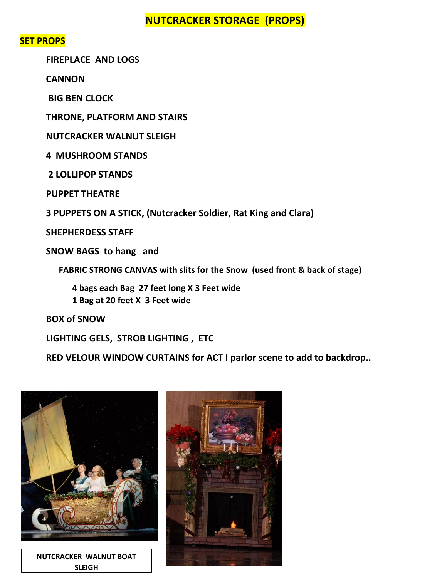### **NUTCRACKER STORAGE (PROPS)**

#### **SET PROPS**

**FIREPLACE AND LOGS** 

**CANNON**

**BIG BEN CLOCK** 

**THRONE, PLATFORM AND STAIRS**

**NUTCRACKER WALNUT SLEIGH** 

**4 MUSHROOM STANDS** 

**2 LOLLIPOP STANDS** 

**PUPPET THEATRE** 

**3 PUPPETS ON A STICK, (Nutcracker Soldier, Rat King and Clara)**

**SHEPHERDESS STAFF**

**SNOW BAGS to hang and** 

 **FABRIC STRONG CANVAS with slits for the Snow (used front & back of stage)** 

**4 bags each Bag 27 feet long X 3 Feet wide** 

**1 Bag at 20 feet X 3 Feet wide** 

**BOX of SNOW** 

**LIGHTING GELS, STROB LIGHTING , ETC**

**RED VELOUR WINDOW CURTAINS for ACT I parlor scene to add to backdrop..**



**NUTCRACKER WALNUT BOAT SLEIGH**

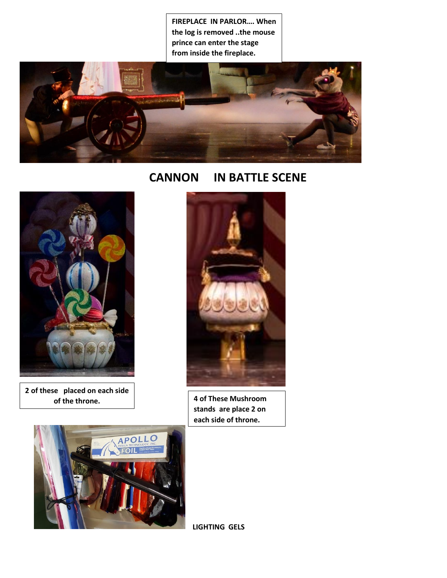**FIREPLACE IN PARLOR…. When the log is removed ..the mouse prince can enter the stage from inside the fireplace.**



## **CANNON IN BATTLE SCENE**



**2 of these placed on each side of the throne.**

 $\overline{\phantom{a}}$ 



**4 of These Mushroom stands are place 2 on each side of throne.**



**LIGHTING GELS**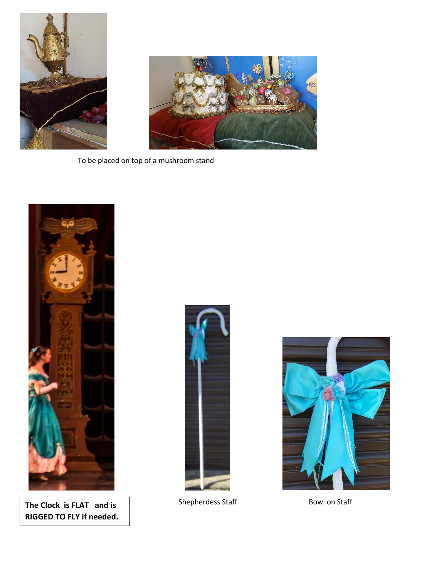



To be placed on top of a mushroom stand



The Clock is FLAT and is **Shepherdess Staff** Bow on Staff **RIGGED TO FLY if needed.**



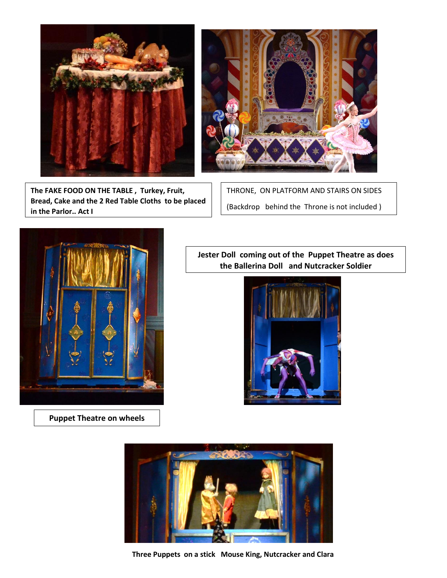

**The FAKE FOOD ON THE TABLE , Turkey, Fruit, Bread, Cake and the 2 Red Table Cloths to be placed in the Parlor.. Act I**



THRONE, ON PLATFORM AND STAIRS ON SIDES (Backdrop behind the Throne is not included )



**Puppet Theatre on wheels**

**Jester Doll coming out of the Puppet Theatre as does the Ballerina Doll and Nutcracker Soldier**





**Three Puppets on a stick Mouse King, Nutcracker and Clara**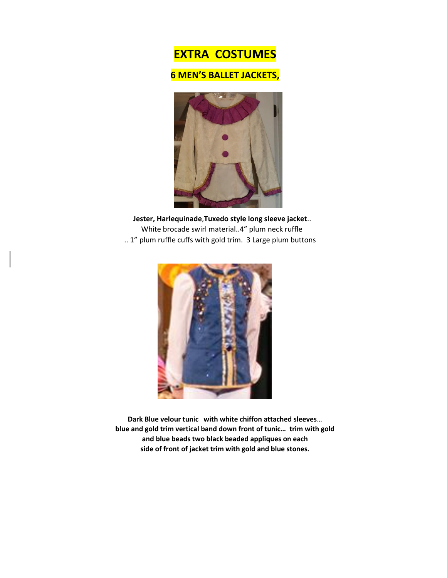# **EXTRA COSTUMES**

#### **6 MEN'S BALLET JACKETS,**



 **Jester, Harlequinade**,**Tuxedo style long sleeve jacket**.. White brocade swirl material..4" plum neck ruffle .. 1" plum ruffle cuffs with gold trim. 3 Large plum buttons



**Dark Blue velour tunic with white chiffon attached sleeves**… **blue and gold trim vertical band down front of tunic… trim with gold and blue beads two black beaded appliques on each side of front of jacket trim with gold and blue stones.**